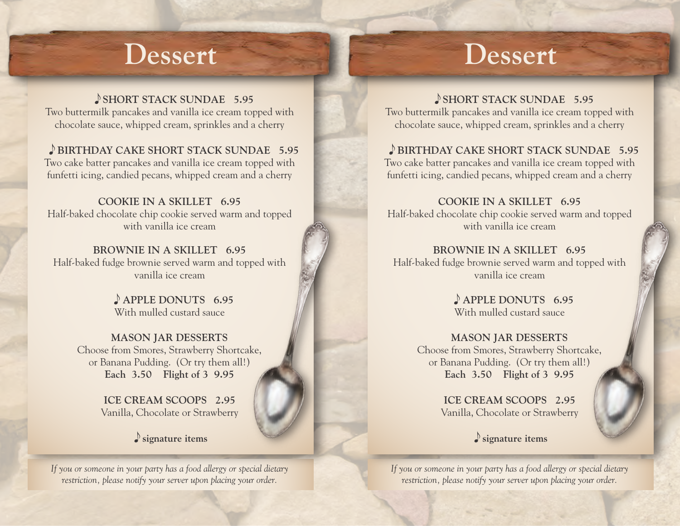## **Dessert**

SHORT STACK SUNDAE 5.95 Two buttermilk pancakes and vanilla ice cream topped with chocolate sauce, whipped cream, sprinkles and a cherry

 **BIRTHDAY CAKE SHORT STACK SUNDAE 5.95** Two cake batter pancakes and vanilla ice cream topped with funfetti icing, candied pecans, whipped cream and a cherry

**COOKIE IN A SKILLET 6.95** Half-baked chocolate chip cookie served warm and topped with vanilla ice cream

**BROWNIE IN A SKILLET 6.95** Half-baked fudge brownie served warm and topped with vanilla ice cream

> **APPLE DONUTS 6.95** With mulled custard sauce

**MASON JAR DESSERTS** Choose from Smores, Strawberry Shortcake, or Banana Pudding. (Or try them all!) **Each 3.50 Flight of 3 9.95**

> **ICE CREAM SCOOPS 2.95** Vanilla, Chocolate or Strawberry

> > **signature items**

*If you or someone in your party has a food allergy or special dietary restriction, please notify your server upon placing your order.*

## **Dessert**

SHORT STACK SUNDAE 5.95 Two buttermilk pancakes and vanilla ice cream topped with chocolate sauce, whipped cream, sprinkles and a cherry

 **BIRTHDAY CAKE SHORT STACK SUNDAE 5.95** Two cake batter pancakes and vanilla ice cream topped with funfetti icing, candied pecans, whipped cream and a cherry

**COOKIE IN A SKILLET 6.95** Half-baked chocolate chip cookie served warm and topped with vanilla ice cream

**BROWNIE IN A SKILLET 6.95** Half-baked fudge brownie served warm and topped with vanilla ice cream

> **APPLE DONUTS 6.95** With mulled custard sauce

**MASON JAR DESSERTS** Choose from Smores, Strawberry Shortcake, or Banana Pudding. (Or try them all!) **Each 3.50 Flight of 3 9.95**

> **ICE CREAM SCOOPS 2.95** Vanilla, Chocolate or Strawberry

> > **signature items**

*If you or someone in your party has a food allergy or special dietary restriction, please notify your server upon placing your order.*